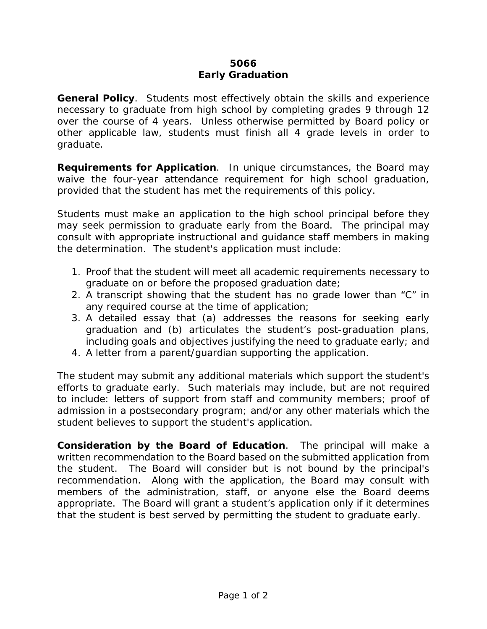## **5066 Early Graduation**

**General Policy**. Students most effectively obtain the skills and experience necessary to graduate from high school by completing grades 9 through 12 over the course of 4 years. Unless otherwise permitted by Board policy or other applicable law, students must finish all 4 grade levels in order to graduate.

**Requirements for Application**. In unique circumstances, the Board may waive the four-year attendance requirement for high school graduation, provided that the student has met the requirements of this policy.

Students must make an application to the high school principal before they may seek permission to graduate early from the Board. The principal may consult with appropriate instructional and guidance staff members in making the determination. The student's application must include:

- 1. Proof that the student will meet all academic requirements necessary to graduate on or before the proposed graduation date;
- 2. A transcript showing that the student has no grade lower than "C" in any required course at the time of application;
- 3. A detailed essay that (a) addresses the reasons for seeking early graduation and (b) articulates the student's post-graduation plans, including goals and objectives justifying the need to graduate early; and
- 4. A letter from a parent/guardian supporting the application.

The student may submit any additional materials which support the student's efforts to graduate early. Such materials may include, but are not required to include: letters of support from staff and community members; proof of admission in a postsecondary program; and/or any other materials which the student believes to support the student's application.

**Consideration by the Board of Education**. The principal will make a written recommendation to the Board based on the submitted application from the student. The Board will consider but is not bound by the principal's recommendation. Along with the application, the Board may consult with members of the administration, staff, or anyone else the Board deems appropriate. The Board will grant a student's application only if it determines that the student is best served by permitting the student to graduate early.